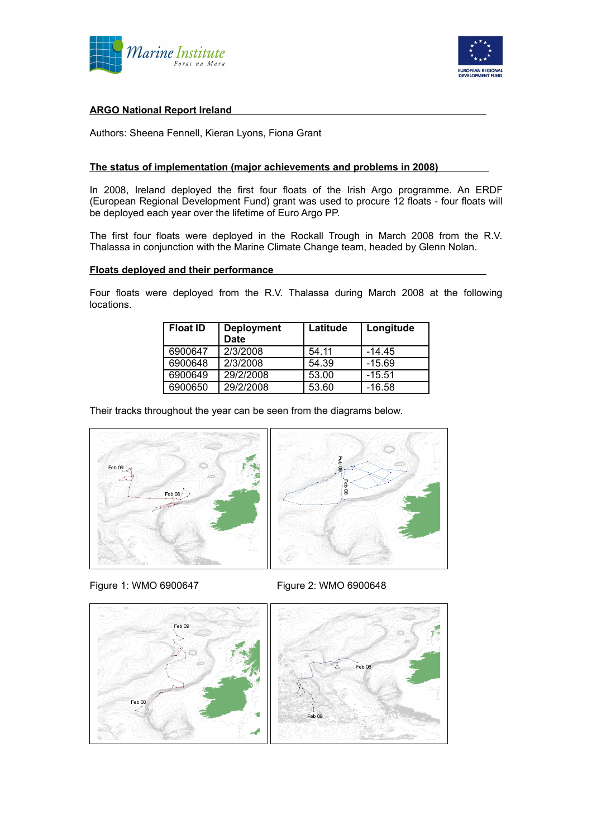



# **ARGO National Report Ireland**

Authors: Sheena Fennell, Kieran Lyons, Fiona Grant

# **The status of implementation (major achievements and problems in 2008)**

In 2008, Ireland deployed the first four floats of the Irish Argo programme. An ERDF (European Regional Development Fund) grant was used to procure 12 floats - four floats will be deployed each year over the lifetime of Euro Argo PP.

The first four floats were deployed in the Rockall Trough in March 2008 from the R.V. Thalassa in conjunction with the Marine Climate Change team, headed by Glenn Nolan.

### **Floats deployed and their performance**

Four floats were deployed from the R.V. Thalassa during March 2008 at the following locations.

| <b>Float ID</b> | <b>Deployment</b><br><b>Date</b> | Latitude | Longitude |
|-----------------|----------------------------------|----------|-----------|
| 6900647         | 2/3/2008                         | 54.11    | -14.45    |
| 6900648         | 2/3/2008                         | 54.39    | $-15.69$  |
|                 |                                  |          |           |
| 6900649         | 29/2/2008                        | 53.00    | $-15.51$  |
| 6900650         | 29/2/2008                        | 53.60    | $-16.58$  |

Their tracks throughout the year can be seen from the diagrams below.



Figure 1: WMO 6900647 Figure 2: WMO 6900648

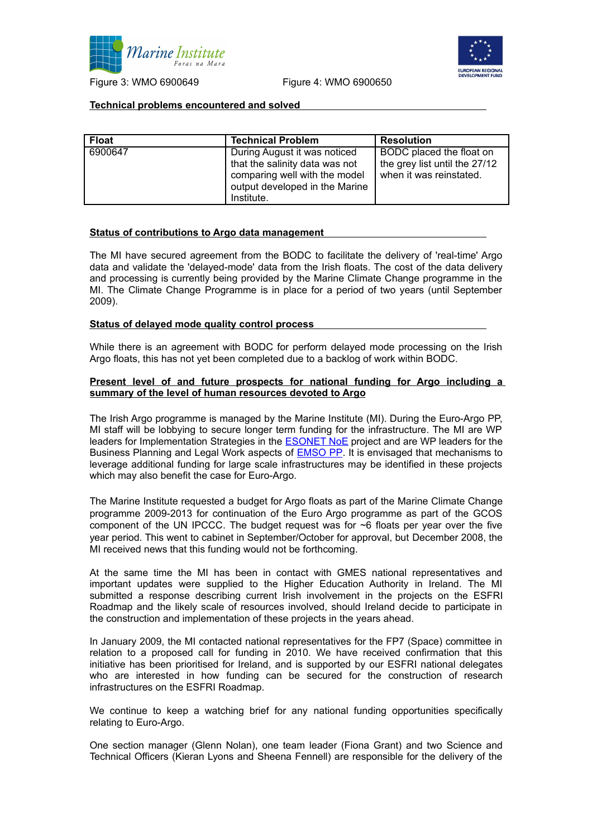



Figure 3: WMO 6900649 Figure 4: WMO 6900650

#### **Technical problems encountered and solved**

| Float   | <b>Technical Problem</b>       | <b>Resolution</b>             |
|---------|--------------------------------|-------------------------------|
| 6900647 | During August it was noticed   | BODC placed the float on      |
|         | that the salinity data was not | the grey list until the 27/12 |
|         | comparing well with the model  | when it was reinstated.       |
|         | output developed in the Marine |                               |
|         | Institute.                     |                               |

#### **Status of contributions to Argo data management**

The MI have secured agreement from the BODC to facilitate the delivery of 'real-time' Argo data and validate the 'delayed-mode' data from the Irish floats. The cost of the data delivery and processing is currently being provided by the Marine Climate Change programme in the MI. The Climate Change Programme is in place for a period of two years (until September 2009).

#### **Status of delayed mode quality control process**

While there is an agreement with BODC for perform delayed mode processing on the Irish Argo floats, this has not yet been completed due to a backlog of work within BODC.

#### **Present level of and future prospects for national funding for Argo including a summary of the level of human resources devoted to Argo**

The Irish Argo programme is managed by the Marine Institute (MI). During the Euro-Argo PP, MI staff will be lobbying to secure longer term funding for the infrastructure. The MI are WP leaders for Implementation Strategies in the **ESONET NoE** project and are WP leaders for the Business Planning and Legal Work aspects of **EMSO PP**. It is envisaged that mechanisms to leverage additional funding for large scale infrastructures may be identified in these projects which may also benefit the case for Euro-Argo.

The Marine Institute requested a budget for Argo floats as part of the Marine Climate Change programme 2009-2013 for continuation of the Euro Argo programme as part of the GCOS component of the UN IPCCC. The budget request was for ~6 floats per year over the five year period. This went to cabinet in September/October for approval, but December 2008, the MI received news that this funding would not be forthcoming.

At the same time the MI has been in contact with GMES national representatives and important updates were supplied to the Higher Education Authority in Ireland. The MI submitted a response describing current Irish involvement in the projects on the ESFRI Roadmap and the likely scale of resources involved, should Ireland decide to participate in the construction and implementation of these projects in the years ahead.

In January 2009, the MI contacted national representatives for the FP7 (Space) committee in relation to a proposed call for funding in 2010. We have received confirmation that this initiative has been prioritised for Ireland, and is supported by our ESFRI national delegates who are interested in how funding can be secured for the construction of research infrastructures on the ESFRI Roadmap.

We continue to keep a watching brief for any national funding opportunities specifically relating to Euro-Argo.

One section manager (Glenn Nolan), one team leader (Fiona Grant) and two Science and Technical Officers (Kieran Lyons and Sheena Fennell) are responsible for the delivery of the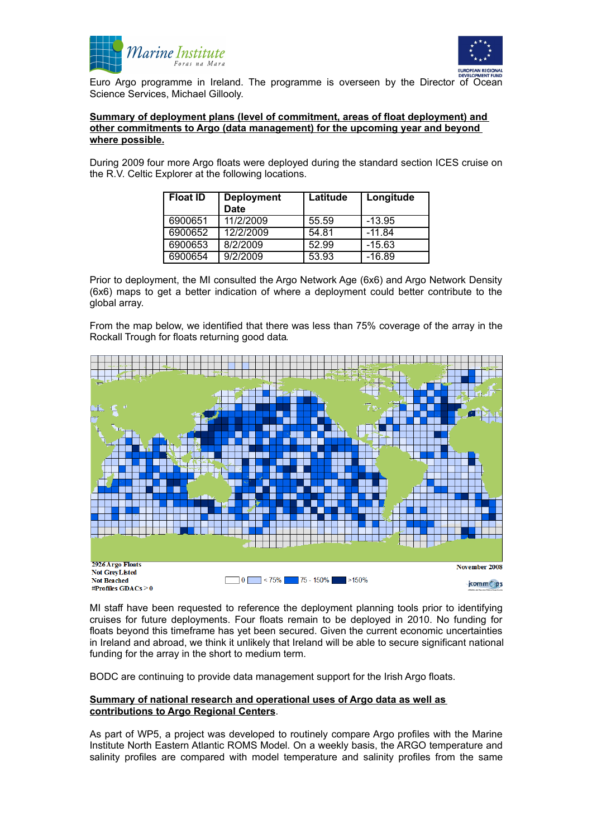



Euro Argo programme in Ireland. The programme is overseen by the Director of Ocean Science Services, Michael Gillooly.

## **Summary of deployment plans (level of commitment, areas of float deployment) and other commitments to Argo (data management) for the upcoming year and beyond where possible.**

During 2009 four more Argo floats were deployed during the standard section ICES cruise on the R.V. Celtic Explorer at the following locations.

| <b>Float ID</b> | <b>Deployment</b><br><b>Date</b> | Latitude | Longitude |
|-----------------|----------------------------------|----------|-----------|
| 6900651         | 11/2/2009                        | 55.59    | $-13.95$  |
| 6900652         | 12/2/2009                        | 54.81    | $-11.84$  |
| 6900653         | 8/2/2009                         | 52.99    | $-15.63$  |
| 6900654         | 9/2/2009                         | 53.93    | $-16.89$  |

Prior to deployment, the MI consulted the Argo Network Age (6x6) and Argo Network Density (6x6) maps to get a better indication of where a deployment could better contribute to the global array.

From the map below, we identified that there was less than 75% coverage of the array in the Rockall Trough for floats returning good data*.*



MI staff have been requested to reference the deployment planning tools prior to identifying cruises for future deployments. Four floats remain to be deployed in 2010. No funding for floats beyond this timeframe has yet been secured. Given the current economic uncertainties in Ireland and abroad, we think it unlikely that Ireland will be able to secure significant national funding for the array in the short to medium term.

BODC are continuing to provide data management support for the Irish Argo floats.

## **Summary of national research and operational uses of Argo data as well as contributions to Argo Regional Centers**.

As part of WP5, a project was developed to routinely compare Argo profiles with the Marine Institute North Eastern Atlantic ROMS Model. On a weekly basis, the ARGO temperature and salinity profiles are compared with model temperature and salinity profiles from the same